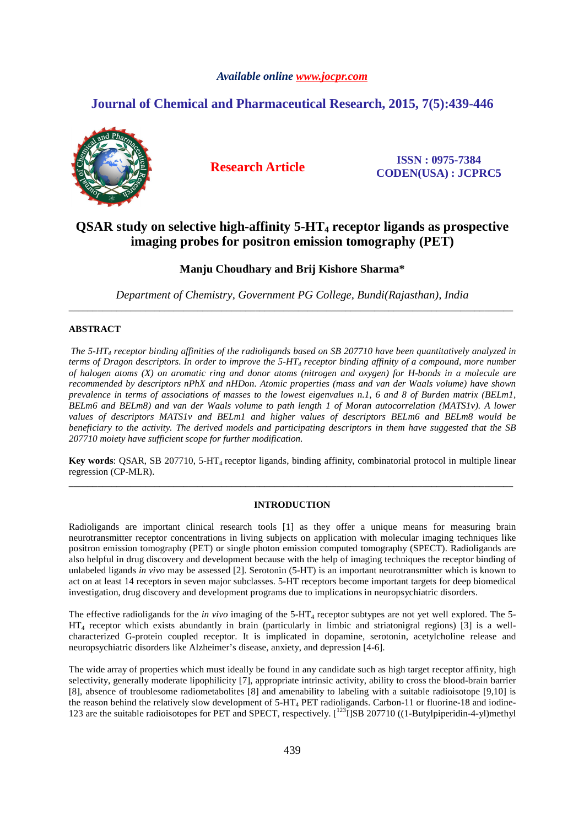## *Available online www.jocpr.com*

# **Journal of Chemical and Pharmaceutical Research, 2015, 7(5):439-446**



**Research Article ISSN : 0975-7384 CODEN(USA) : JCPRC5**

# **QSAR study on selective high-affinity 5-HT4 receptor ligands as prospective imaging probes for positron emission tomography (PET)**

## **Manju Choudhary and Brij Kishore Sharma\***

*Department of Chemistry, Government PG College, Bundi(Rajasthan), India*  \_\_\_\_\_\_\_\_\_\_\_\_\_\_\_\_\_\_\_\_\_\_\_\_\_\_\_\_\_\_\_\_\_\_\_\_\_\_\_\_\_\_\_\_\_\_\_\_\_\_\_\_\_\_\_\_\_\_\_\_\_\_\_\_\_\_\_\_\_\_\_\_\_\_\_\_\_\_\_\_\_\_\_\_\_\_\_\_\_\_\_\_\_

## **ABSTRACT**

*The 5-HT4 receptor binding affinities of the radioligands based on SB 207710 have been quantitatively analyzed in terms of Dragon descriptors. In order to improve the 5-HT4 receptor binding affinity of a compound, more number of halogen atoms (X) on aromatic ring and donor atoms (nitrogen and oxygen) for H-bonds in a molecule are recommended by descriptors nPhX and nHDon. Atomic properties (mass and van der Waals volume) have shown prevalence in terms of associations of masses to the lowest eigenvalues n.1, 6 and 8 of Burden matrix (BELm1, BELm6 and BELm8) and van der Waals volume to path length 1 of Moran autocorrelation (MATS1v). A lower values of descriptors MATS1v and BELm1 and higher values of descriptors BELm6 and BELm8 would be beneficiary to the activity. The derived models and participating descriptors in them have suggested that the SB 207710 moiety have sufficient scope for further modification.* 

**Key words**: QSAR, SB 207710, 5-HT4 receptor ligands, binding affinity, combinatorial protocol in multiple linear regression (CP-MLR). \_\_\_\_\_\_\_\_\_\_\_\_\_\_\_\_\_\_\_\_\_\_\_\_\_\_\_\_\_\_\_\_\_\_\_\_\_\_\_\_\_\_\_\_\_\_\_\_\_\_\_\_\_\_\_\_\_\_\_\_\_\_\_\_\_\_\_\_\_\_\_\_\_\_\_\_\_\_\_\_\_\_\_\_\_\_\_\_\_\_\_\_\_

## **INTRODUCTION**

Radioligands are important clinical research tools [1] as they offer a unique means for measuring brain neurotransmitter receptor concentrations in living subjects on application with molecular imaging techniques like positron emission tomography (PET) or single photon emission computed tomography (SPECT). Radioligands are also helpful in drug discovery and development because with the help of imaging techniques the receptor binding of unlabeled ligands *in vivo* may be assessed [2]. Serotonin (5-HT) is an important neurotransmitter which is known to act on at least 14 receptors in seven major subclasses. 5-HT receptors become important targets for deep biomedical investigation, drug discovery and development programs due to implications in neuropsychiatric disorders.

The effective radioligands for the *in vivo* imaging of the 5-HT4 receptor subtypes are not yet well explored. The 5-  $HT<sub>4</sub>$  receptor which exists abundantly in brain (particularly in limbic and striatonigral regions) [3] is a wellcharacterized G-protein coupled receptor. It is implicated in dopamine, serotonin, acetylcholine release and neuropsychiatric disorders like Alzheimer's disease, anxiety, and depression [4-6].

The wide array of properties which must ideally be found in any candidate such as high target receptor affinity, high selectivity, generally moderate lipophilicity [7], appropriate intrinsic activity, ability to cross the blood-brain barrier [8], absence of troublesome radiometabolites [8] and amenability to labeling with a suitable radioisotope [9,10] is the reason behind the relatively slow development of  $5-HT<sub>4</sub> PET$  radioligands. Carbon-11 or fluorine-18 and iodine-123 are the suitable radioisotopes for PET and SPECT, respectively. [<sup>123</sup>I]SB 207710 ((1-Butylpiperidin-4-yl)methyl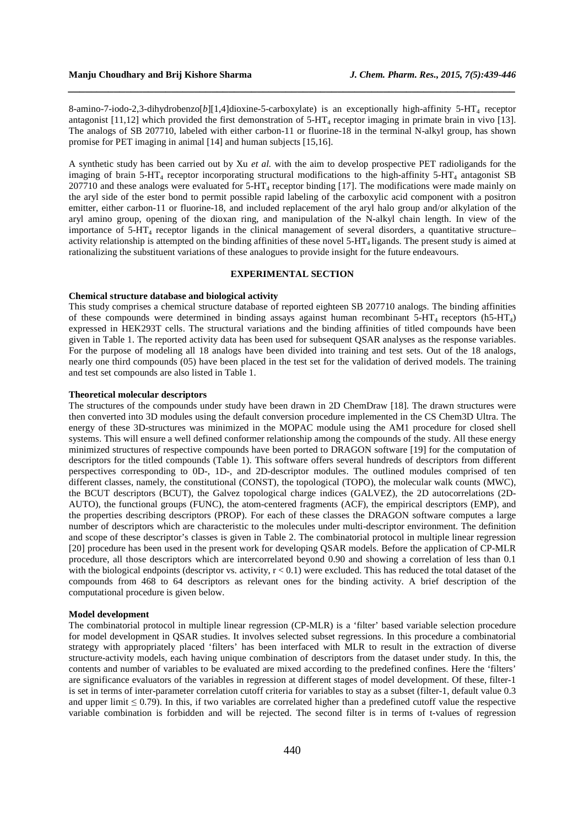8-amino-7-iodo-2,3-dihydrobenzo[*b*][1,4]dioxine-5-carboxylate) is an exceptionally high-affinity 5-HT<sub>4</sub> receptor antagonist  $[11,12]$  which provided the first demonstration of  $5-HT<sub>4</sub>$  receptor imaging in primate brain in vivo [13]. The analogs of SB 207710, labeled with either carbon-11 or fluorine-18 in the terminal N-alkyl group, has shown promise for PET imaging in animal [14] and human subjects [15,16].

*\_\_\_\_\_\_\_\_\_\_\_\_\_\_\_\_\_\_\_\_\_\_\_\_\_\_\_\_\_\_\_\_\_\_\_\_\_\_\_\_\_\_\_\_\_\_\_\_\_\_\_\_\_\_\_\_\_\_\_\_\_\_\_\_\_\_\_\_\_\_\_\_\_\_\_\_\_\_*

A synthetic study has been carried out by Xu *et al.* with the aim to develop prospective PET radioligands for the imaging of brain 5-HT4 receptor incorporating structural modifications to the high-affinity 5-HT4 antagonist SB 207710 and these analogs were evaluated for 5-HT4 receptor binding [17]. The modifications were made mainly on the aryl side of the ester bond to permit possible rapid labeling of the carboxylic acid component with a positron emitter, either carbon-11 or fluorine-18, and included replacement of the aryl halo group and/or alkylation of the aryl amino group, opening of the dioxan ring, and manipulation of the N-alkyl chain length. In view of the importance of 5-HT4 receptor ligands in the clinical management of several disorders, a quantitative structure– activity relationship is attempted on the binding affinities of these novel 5-HT<sub>4</sub> ligands. The present study is aimed at rationalizing the substituent variations of these analogues to provide insight for the future endeavours.

## **EXPERIMENTAL SECTION**

#### **Chemical structure database and biological activity**

This study comprises a chemical structure database of reported eighteen SB 207710 analogs. The binding affinities of these compounds were determined in binding assays against human recombinant  $5-HT_4$  receptors (h5-HT<sub>4</sub>) expressed in HEK293T cells. The structural variations and the binding affinities of titled compounds have been given in Table 1. The reported activity data has been used for subsequent QSAR analyses as the response variables. For the purpose of modeling all 18 analogs have been divided into training and test sets. Out of the 18 analogs, nearly one third compounds (05) have been placed in the test set for the validation of derived models. The training and test set compounds are also listed in Table 1.

#### **Theoretical molecular descriptors**

The structures of the compounds under study have been drawn in 2D ChemDraw [18]. The drawn structures were then converted into 3D modules using the default conversion procedure implemented in the CS Chem3D Ultra. The energy of these 3D-structures was minimized in the MOPAC module using the AM1 procedure for closed shell systems. This will ensure a well defined conformer relationship among the compounds of the study. All these energy minimized structures of respective compounds have been ported to DRAGON software [19] for the computation of descriptors for the titled compounds (Table 1). This software offers several hundreds of descriptors from different perspectives corresponding to 0D-, 1D-, and 2D-descriptor modules. The outlined modules comprised of ten different classes, namely, the constitutional (CONST), the topological (TOPO), the molecular walk counts (MWC), the BCUT descriptors (BCUT), the Galvez topological charge indices (GALVEZ), the 2D autocorrelations (2D-AUTO), the functional groups (FUNC), the atom-centered fragments (ACF), the empirical descriptors (EMP), and the properties describing descriptors (PROP). For each of these classes the DRAGON software computes a large number of descriptors which are characteristic to the molecules under multi-descriptor environment. The definition and scope of these descriptor's classes is given in Table 2. The combinatorial protocol in multiple linear regression [20] procedure has been used in the present work for developing QSAR models. Before the application of CP-MLR procedure, all those descriptors which are intercorrelated beyond 0.90 and showing a correlation of less than 0.1 with the biological endpoints (descriptor vs. activity,  $r < 0.1$ ) were excluded. This has reduced the total dataset of the compounds from 468 to 64 descriptors as relevant ones for the binding activity. A brief description of the computational procedure is given below.

#### **Model development**

The combinatorial protocol in multiple linear regression (CP-MLR) is a 'filter' based variable selection procedure for model development in QSAR studies. It involves selected subset regressions. In this procedure a combinatorial strategy with appropriately placed 'filters' has been interfaced with MLR to result in the extraction of diverse structure-activity models, each having unique combination of descriptors from the dataset under study. In this, the contents and number of variables to be evaluated are mixed according to the predefined confines. Here the 'filters' are significance evaluators of the variables in regression at different stages of model development. Of these, filter-1 is set in terms of inter-parameter correlation cutoff criteria for variables to stay as a subset (filter-1, default value 0.3 and upper limit  $\leq 0.79$ ). In this, if two variables are correlated higher than a predefined cutoff value the respective variable combination is forbidden and will be rejected. The second filter is in terms of t-values of regression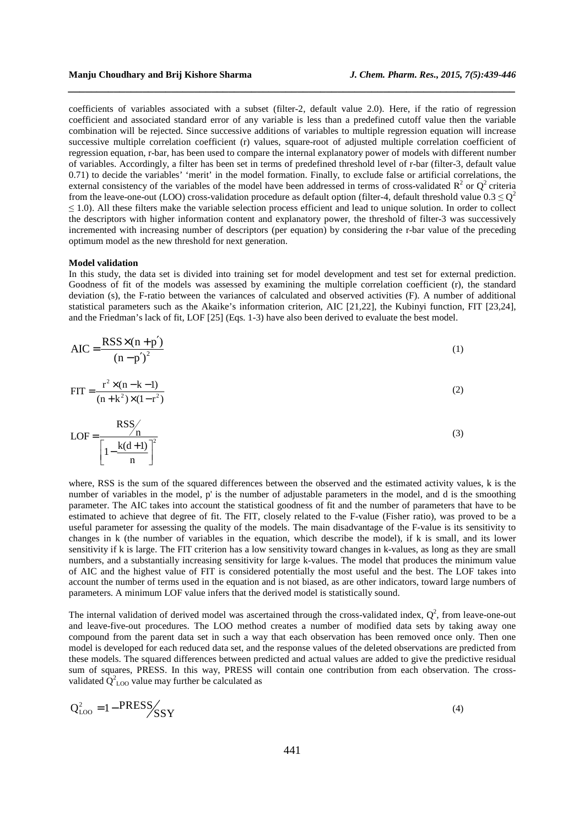coefficients of variables associated with a subset (filter-2, default value 2.0). Here, if the ratio of regression coefficient and associated standard error of any variable is less than a predefined cutoff value then the variable combination will be rejected. Since successive additions of variables to multiple regression equation will increase successive multiple correlation coefficient (r) values, square-root of adjusted multiple correlation coefficient of regression equation, r-bar, has been used to compare the internal explanatory power of models with different number of variables. Accordingly, a filter has been set in terms of predefined threshold level of r-bar (filter-3, default value 0.71) to decide the variables' 'merit' in the model formation. Finally, to exclude false or artificial correlations, the external consistency of the variables of the model have been addressed in terms of cross-validated  $R^2$  or  $Q^2$  criteria from the leave-one-out (LOO) cross-validation procedure as default option (filter-4, default threshold value  $0.3 \leq Q^2$ ≤ 1.0). All these filters make the variable selection process efficient and lead to unique solution. In order to collect the descriptors with higher information content and explanatory power, the threshold of filter-3 was successively incremented with increasing number of descriptors (per equation) by considering the r-bar value of the preceding optimum model as the new threshold for next generation.

*\_\_\_\_\_\_\_\_\_\_\_\_\_\_\_\_\_\_\_\_\_\_\_\_\_\_\_\_\_\_\_\_\_\_\_\_\_\_\_\_\_\_\_\_\_\_\_\_\_\_\_\_\_\_\_\_\_\_\_\_\_\_\_\_\_\_\_\_\_\_\_\_\_\_\_\_\_\_*

#### **Model validation**

In this study, the data set is divided into training set for model development and test set for external prediction. Goodness of fit of the models was assessed by examining the multiple correlation coefficient (r), the standard deviation (s), the F*-*ratio between the variances of calculated and observed activities (F). A number of additional statistical parameters such as the Akaike's information criterion, AIC [21,22], the Kubinyi function, FIT [23,24], and the Friedman's lack of fit, LOF [25] (Eqs. 1-3) have also been derived to evaluate the best model.

$$
AIC = \frac{RSS \times (n+p')}{(n-p')^2}
$$
 (1)

$$
FIT = \frac{r^2 \times (n - k - 1)}{(n + k^2) \times (1 - r^2)}
$$
 (2)

$$
LOF = \frac{RSS}{\left[1 - \frac{k(d+1)}{n}\right]^2}
$$
 (3)

where, RSS is the sum of the squared differences between the observed and the estimated activity values, k is the number of variables in the model, p' is the number of adjustable parameters in the model, and d is the smoothing parameter. The AIC takes into account the statistical goodness of fit and the number of parameters that have to be estimated to achieve that degree of fit. The FIT, closely related to the F-value (Fisher ratio), was proved to be a useful parameter for assessing the quality of the models. The main disadvantage of the F-value is its sensitivity to changes in k (the number of variables in the equation, which describe the model), if k is small, and its lower sensitivity if k is large. The FIT criterion has a low sensitivity toward changes in k-values, as long as they are small numbers, and a substantially increasing sensitivity for large k-values. The model that produces the minimum value of AIC and the highest value of FIT is considered potentially the most useful and the best. The LOF takes into account the number of terms used in the equation and is not biased, as are other indicators, toward large numbers of parameters. A minimum LOF value infers that the derived model is statistically sound.

The internal validation of derived model was ascertained through the cross-validated index,  $Q^2$ , from leave-one-out and leave-five-out procedures. The LOO method creates a number of modified data sets by taking away one compound from the parent data set in such a way that each observation has been removed once only. Then one model is developed for each reduced data set, and the response values of the deleted observations are predicted from these models. The squared differences between predicted and actual values are added to give the predictive residual sum of squares, PRESS. In this way, PRESS will contain one contribution from each observation. The crossvalidated  $\hat{Q}_{\text{LOO}}^2$  value may further be calculated as

$$
Q_{LOO}^2 = 1 - PRESS / SSY \tag{4}
$$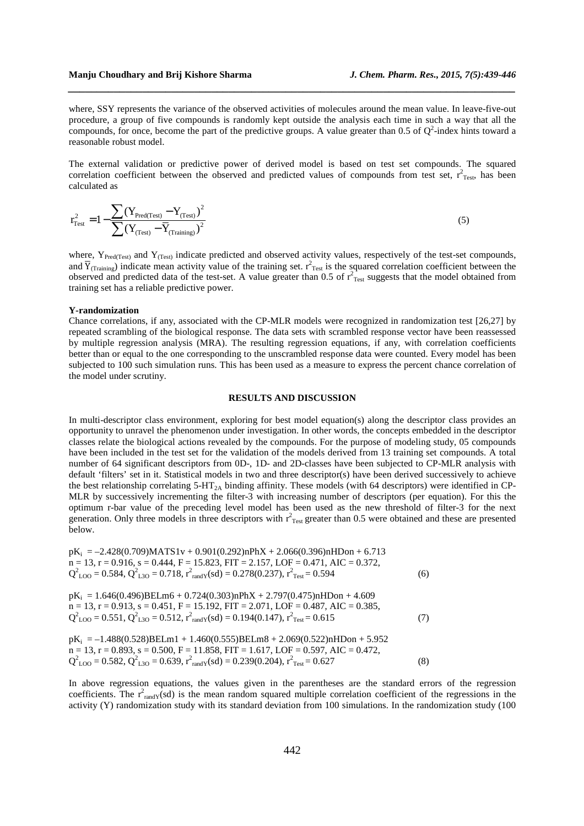### **Manju Choudhary and Brij Kishore Sharma** *J. Chem. Pharm. Res., 2015, 7(5):439-446*

where, SSY represents the variance of the observed activities of molecules around the mean value. In leave-five-out procedure, a group of five compounds is randomly kept outside the analysis each time in such a way that all the compounds, for once, become the part of the predictive groups. A value greater than 0.5 of  $Q^2$ -index hints toward a reasonable robust model.

*\_\_\_\_\_\_\_\_\_\_\_\_\_\_\_\_\_\_\_\_\_\_\_\_\_\_\_\_\_\_\_\_\_\_\_\_\_\_\_\_\_\_\_\_\_\_\_\_\_\_\_\_\_\_\_\_\_\_\_\_\_\_\_\_\_\_\_\_\_\_\_\_\_\_\_\_\_\_*

The external validation or predictive power of derived model is based on test set compounds. The squared correlation coefficient between the observed and predicted values of compounds from test set,  $r_{\text{Test}}^2$ , has been calculated as

$$
r_{\text{Test}}^2 = 1 - \frac{\sum (Y_{\text{Pred(Test)}} - Y_{\text{(Test)}})^2}{\sum (Y_{\text{(Test)}} - \overline{Y}_{\text{(Training)}})^2}
$$
(5)

where,  $Y_{Pred(Test)}$  and  $Y_{(Test)}$  indicate predicted and observed activity values, respectively of the test-set compounds, and  $\overline{Y}_{(Training)}$  indicate mean activity value of the training set.  $r^2_{Test}$  is the squared correlation coefficient between the observed and predicted data of the test-set. A value greater than 0.5 of  $r^2_{\text{Test}}$  suggests that the model obtained from training set has a reliable predictive power.

#### **Y-randomization**

Chance correlations, if any, associated with the CP-MLR models were recognized in randomization test [26,27] by repeated scrambling of the biological response. The data sets with scrambled response vector have been reassessed by multiple regression analysis (MRA). The resulting regression equations, if any, with correlation coefficients better than or equal to the one corresponding to the unscrambled response data were counted. Every model has been subjected to 100 such simulation runs. This has been used as a measure to express the percent chance correlation of the model under scrutiny.

#### **RESULTS AND DISCUSSION**

In multi-descriptor class environment, exploring for best model equation(s) along the descriptor class provides an opportunity to unravel the phenomenon under investigation. In other words, the concepts embedded in the descriptor classes relate the biological actions revealed by the compounds. For the purpose of modeling study, 05 compounds have been included in the test set for the validation of the models derived from 13 training set compounds. A total number of 64 significant descriptors from 0D-, 1D- and 2D-classes have been subjected to CP-MLR analysis with default 'filters' set in it. Statistical models in two and three descriptor(s) have been derived successively to achieve the best relationship correlating  $5-HT_{2A}$  binding affinity. These models (with 64 descriptors) were identified in CP-MLR by successively incrementing the filter-3 with increasing number of descriptors (per equation). For this the optimum r-bar value of the preceding level model has been used as the new threshold of filter-3 for the next generation. Only three models in three descriptors with  $r^2_{\text{Test}}$  greater than 0.5 were obtained and these are presented below.

 $pK_i = -2.428(0.709) \text{MATS1v} + 0.901(0.292) \text{nPhX} + 2.066(0.396) \text{nHDon} + 6.713$  $n = 13$ ,  $r = 0.916$ ,  $s = 0.444$ ,  $F = 15.823$ ,  $FIT = 2.157$ ,  $LOF = 0.471$ ,  $AIC = 0.372$ ,  $Q_{\text{LOO}}^2 = 0.584, Q_{\text{L3O}}^2 = 0.718, r_{\text{randY}}^2(\text{sd}) = 0.278(0.237), r_{\text{Test}}^2 = 0.594$  (6)

 $pK_i = 1.646(0.496)BELm6 + 0.724(0.303)nPhX + 2.797(0.475)nHDon + 4.609$  $n = 13$ ,  $r = 0.913$ ,  $s = 0.451$ ,  $F = 15.192$ ,  $FIT = 2.071$ ,  $LOF = 0.487$ ,  $AIC = 0.385$ ,  $Q_{\text{LOO}}^2 = 0.551$ ,  $Q_{\text{L3O}}^2 = 0.512$ ,  $r_{\text{randY}}^2$ (sd) = 0.194(0.147),  $r_{\text{Test}}^2 = 0.615$  (7)

 $pK_i = -1.488(0.528)BELm1 + 1.460(0.555)BELm8 + 2.069(0.522)nHDon + 5.952$  $n = 13$ ,  $r = 0.893$ ,  $s = 0.500$ ,  $F = 11.858$ ,  $FIT = 1.617$ ,  $LOF = 0.597$ ,  $AIC = 0.472$ ,  $Q_{\text{LOO}}^2 = 0.582$ ,  $Q_{\text{L3O}}^2 = 0.639$ ,  $r_{\text{randY}}^2$ (sd) = 0.239(0.204),  $r_{\text{Test}}^2 = 0.627$  (8)

In above regression equations, the values given in the parentheses are the standard errors of the regression coefficients. The  $r_{randy}^2$ (sd) is the mean random squared multiple correlation coefficient of the regressions in the activity (Y) randomization study with its standard deviation from 100 simulations. In the randomization study (100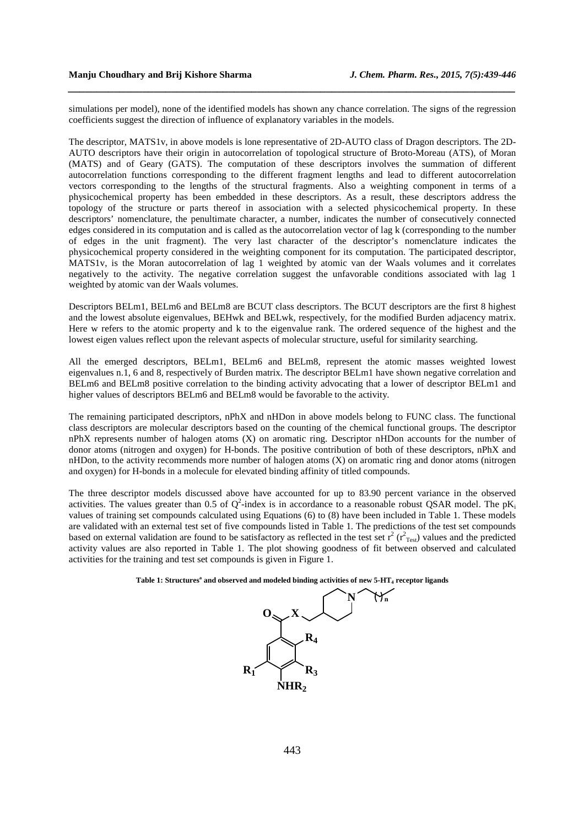simulations per model), none of the identified models has shown any chance correlation. The signs of the regression coefficients suggest the direction of influence of explanatory variables in the models.

*\_\_\_\_\_\_\_\_\_\_\_\_\_\_\_\_\_\_\_\_\_\_\_\_\_\_\_\_\_\_\_\_\_\_\_\_\_\_\_\_\_\_\_\_\_\_\_\_\_\_\_\_\_\_\_\_\_\_\_\_\_\_\_\_\_\_\_\_\_\_\_\_\_\_\_\_\_\_*

The descriptor, MATS1v, in above models is lone representative of 2D-AUTO class of Dragon descriptors. The 2D-AUTO descriptors have their origin in autocorrelation of topological structure of Broto-Moreau (ATS), of Moran (MATS) and of Geary (GATS). The computation of these descriptors involves the summation of different autocorrelation functions corresponding to the different fragment lengths and lead to different autocorrelation vectors corresponding to the lengths of the structural fragments. Also a weighting component in terms of a physicochemical property has been embedded in these descriptors. As a result, these descriptors address the topology of the structure or parts thereof in association with a selected physicochemical property. In these descriptors' nomenclature, the penultimate character, a number, indicates the number of consecutively connected edges considered in its computation and is called as the autocorrelation vector of lag k (corresponding to the number of edges in the unit fragment). The very last character of the descriptor's nomenclature indicates the physicochemical property considered in the weighting component for its computation. The participated descriptor, MATS1v, is the Moran autocorrelation of lag 1 weighted by atomic van der Waals volumes and it correlates negatively to the activity. The negative correlation suggest the unfavorable conditions associated with lag 1 weighted by atomic van der Waals volumes.

Descriptors BELm1, BELm6 and BELm8 are BCUT class descriptors. The BCUT descriptors are the first 8 highest and the lowest absolute eigenvalues, BEHwk and BELwk, respectively, for the modified Burden adjacency matrix. Here w refers to the atomic property and k to the eigenvalue rank. The ordered sequence of the highest and the lowest eigen values reflect upon the relevant aspects of molecular structure, useful for similarity searching.

All the emerged descriptors, BELm1, BELm6 and BELm8, represent the atomic masses weighted lowest eigenvalues n.1, 6 and 8, respectively of Burden matrix. The descriptor BELm1 have shown negative correlation and BELm6 and BELm8 positive correlation to the binding activity advocating that a lower of descriptor BELm1 and higher values of descriptors BELm6 and BELm8 would be favorable to the activity.

The remaining participated descriptors, nPhX and nHDon in above models belong to FUNC class. The functional class descriptors are molecular descriptors based on the counting of the chemical functional groups. The descriptor nPhX represents number of halogen atoms (X) on aromatic ring. Descriptor nHDon accounts for the number of donor atoms (nitrogen and oxygen) for H-bonds. The positive contribution of both of these descriptors, nPhX and nHDon, to the activity recommends more number of halogen atoms (X) on aromatic ring and donor atoms (nitrogen and oxygen) for H-bonds in a molecule for elevated binding affinity of titled compounds.

The three descriptor models discussed above have accounted for up to 83.90 percent variance in the observed activities. The values greater than 0.5 of  $Q^2$ -index is in accordance to a reasonable robust QSAR model. The pK<sub>i</sub> values of training set compounds calculated using Equations (6) to (8) have been included in Table 1. These models are validated with an external test set of five compounds listed in Table 1. The predictions of the test set compounds based on external validation are found to be satisfactory as reflected in the test set  $r^2$  ( $r^2_{\text{Test}}$ ) values and the predicted activity values are also reported in Table 1. The plot showing goodness of fit between observed and calculated activities for the training and test set compounds is given in Figure 1.

**Table 1: Structures<sup>a</sup> and observed and modeled binding activities of new 5-HT4 receptor ligands** 

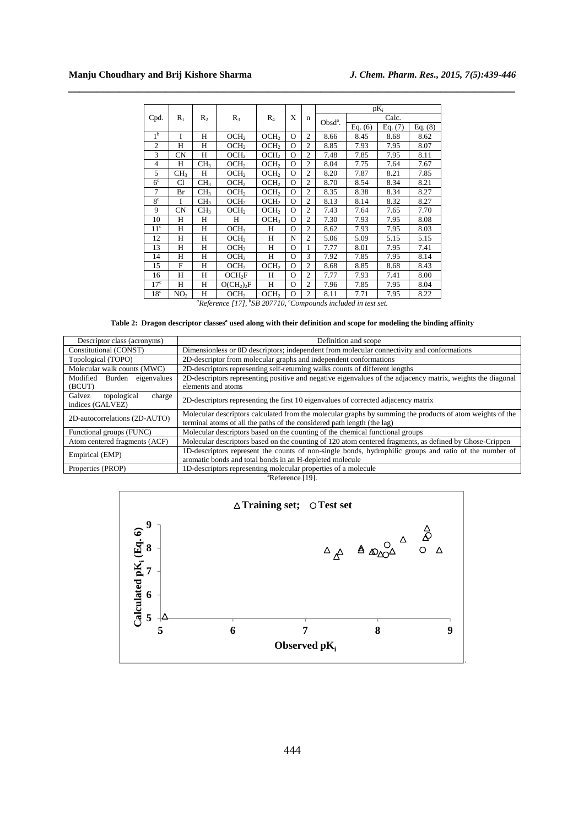|                 |                 |                 |                                    |                  |          |                | $pK_i$     |           |           |           |
|-----------------|-----------------|-----------------|------------------------------------|------------------|----------|----------------|------------|-----------|-----------|-----------|
| Cpd.            | $R_1$           | $R_2$           | $R_3$                              | $R_4$            | X        | $\mathbf n$    | $Obsd^a$ . | Calc.     |           |           |
|                 |                 |                 |                                    |                  |          |                |            | Eq. $(6)$ | Eq. $(7)$ | Eq. $(8)$ |
| 1 <sup>b</sup>  | I               | Н               | OCH <sub>2</sub>                   | OCH <sub>2</sub> | $\Omega$ | $\overline{c}$ | 8.66       | 8.45      | 8.68      | 8.62      |
| $\overline{2}$  | H               | Н               | OCH <sub>2</sub>                   | OCH <sub>2</sub> | $\Omega$ | $\overline{c}$ | 8.85       | 7.93      | 7.95      | 8.07      |
| 3               | CN              | Н               | OCH <sub>2</sub>                   | OCH <sub>2</sub> | $\Omega$ | $\overline{c}$ | 7.48       | 7.85      | 7.95      | 8.11      |
| $\overline{4}$  | H               | CH <sub>3</sub> | OCH <sub>2</sub>                   | OCH <sub>2</sub> | $\Omega$ | $\overline{c}$ | 8.04       | 7.75      | 7.64      | 7.67      |
| 5               | CH <sub>3</sub> | Н               | OCH <sub>2</sub>                   | OCH <sub>2</sub> | $\Omega$ | $\overline{c}$ | 8.20       | 7.87      | 8.21      | 7.85      |
| 6 <sup>c</sup>  | Cl              | CH <sub>3</sub> | OCH <sub>2</sub>                   | OCH <sub>2</sub> | $\Omega$ | $\overline{c}$ | 8.70       | 8.54      | 8.34      | 8.21      |
| 7               | Br              | CH <sub>3</sub> | OCH <sub>2</sub>                   | OCH <sub>2</sub> | $\Omega$ | $\overline{c}$ | 8.35       | 8.38      | 8.34      | 8.27      |
| 8 <sup>c</sup>  | Ī               | CH <sub>3</sub> | OCH <sub>2</sub>                   | OCH <sub>2</sub> | $\Omega$ | $\overline{c}$ | 8.13       | 8.14      | 8.32      | 8.27      |
| 9               | <b>CN</b>       | CH <sub>3</sub> | OCH <sub>2</sub>                   | OCH <sub>2</sub> | $\Omega$ | $\overline{c}$ | 7.43       | 7.64      | 7.65      | 7.70      |
| 10              | Н               | Н               | Н                                  | OCH <sub>3</sub> | $\Omega$ | $\overline{c}$ | 7.30       | 7.93      | 7.95      | 8.08      |
| 11 <sup>c</sup> | Н               | Н               | OCH <sub>3</sub>                   | Н                | $\Omega$ | $\overline{c}$ | 8.62       | 7.93      | 7.95      | 8.03      |
| 12              | Н               | Н               | OCH <sub>3</sub>                   | Н                | N        | $\overline{c}$ | 5.06       | 5.09      | 5.15      | 5.15      |
| 13              | Н               | Н               | OCH <sub>3</sub>                   | Н                | $\Omega$ | 1              | 7.77       | 8.01      | 7.95      | 7.41      |
| 14              | Н               | Н               | OCH <sub>3</sub>                   | Н                | $\Omega$ | 3              | 7.92       | 7.85      | 7.95      | 8.14      |
| 15              | F               | H               | OCH <sub>2</sub>                   | OCH <sub>2</sub> | $\Omega$ | $\overline{2}$ | 8.68       | 8.85      | 8.68      | 8.43      |
| 16              | H               | Н               | OCH <sub>2</sub> F                 | Н                | $\Omega$ | $\overline{c}$ | 7.77       | 7.93      | 7.41      | 8.00      |
| 17 <sup>c</sup> | H               | H               | O(CH <sub>2</sub> ) <sub>2</sub> F | H                | $\Omega$ | $\overline{c}$ | 7.96       | 7.85      | 7.95      | 8.04      |
| 18 <sup>c</sup> | NO <sub>2</sub> | Н               | OCH <sub>2</sub>                   | OCH <sub>2</sub> | O        | $\overline{c}$ | 8.11       | 7.71      | 7.95      | 8.22      |

*\_\_\_\_\_\_\_\_\_\_\_\_\_\_\_\_\_\_\_\_\_\_\_\_\_\_\_\_\_\_\_\_\_\_\_\_\_\_\_\_\_\_\_\_\_\_\_\_\_\_\_\_\_\_\_\_\_\_\_\_\_\_\_\_\_\_\_\_\_\_\_\_\_\_\_\_\_\_*

*<sup>a</sup>Reference [17], <sup>b</sup> SB 207710, <sup>c</sup>Compounds included in test set.* 

#### Table 2: Dragon descriptor classes<sup>a</sup> used along with their definition and scope for modeling the binding affinity

| Descriptor class (acronyms)                         | Definition and scope                                                                                        |  |  |  |  |  |
|-----------------------------------------------------|-------------------------------------------------------------------------------------------------------------|--|--|--|--|--|
| Constitutional (CONST)                              | Dimensionless or 0D descriptors; independent from molecular connectivity and conformations                  |  |  |  |  |  |
| Topological (TOPO)                                  | 2D-descriptor from molecular graphs and independent conformations                                           |  |  |  |  |  |
| Molecular walk counts (MWC)                         | 2D-descriptors representing self-returning walks counts of different lengths                                |  |  |  |  |  |
| Modified<br>Burden eigenvalues                      | 2D-descriptors representing positive and negative eigenvalues of the adjacency matrix, weights the diagonal |  |  |  |  |  |
| (BCUT)                                              | elements and atoms                                                                                          |  |  |  |  |  |
| Galvez<br>topological<br>charge<br>indices (GALVEZ) | 2D-descriptors representing the first 10 eigenvalues of corrected adjacency matrix                          |  |  |  |  |  |
| 2D-autocorrelations (2D-AUTO)                       | Molecular descriptors calculated from the molecular graphs by summing the products of atom weights of the   |  |  |  |  |  |
|                                                     | terminal atoms of all the paths of the considered path length (the lag)                                     |  |  |  |  |  |
| Functional groups (FUNC)                            | Molecular descriptors based on the counting of the chemical functional groups                               |  |  |  |  |  |
| Atom centered fragments (ACF)                       | Molecular descriptors based on the counting of 120 atom centered fragments, as defined by Ghose-Crippen     |  |  |  |  |  |
| Empirical (EMP)                                     | 1D-descriptors represent the counts of non-single bonds, hydrophilic groups and ratio of the number of      |  |  |  |  |  |
|                                                     | aromatic bonds and total bonds in an H-depleted molecule                                                    |  |  |  |  |  |
| Properties (PROP)                                   | 1D-descriptors representing molecular properties of a molecule                                              |  |  |  |  |  |

<sup>a</sup>Reference [19].

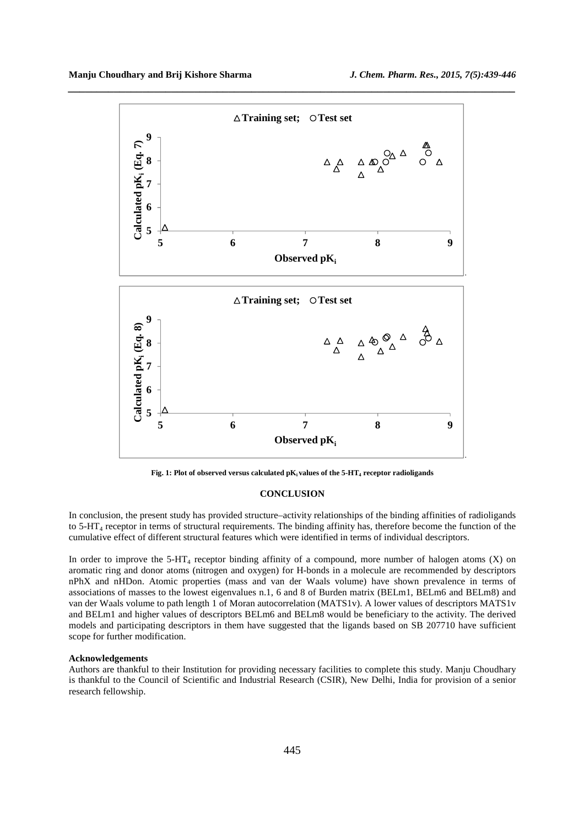

**Fig. 1: Plot of observed versus calculated pKi values of the 5-HT4 receptor radioligands** 

#### **CONCLUSION**

In conclusion, the present study has provided structure–activity relationships of the binding affinities of radioligands to 5-HT4 receptor in terms of structural requirements. The binding affinity has, therefore become the function of the cumulative effect of different structural features which were identified in terms of individual descriptors.

In order to improve the  $5-HT_4$  receptor binding affinity of a compound, more number of halogen atoms  $(X)$  on aromatic ring and donor atoms (nitrogen and oxygen) for H-bonds in a molecule are recommended by descriptors nPhX and nHDon. Atomic properties (mass and van der Waals volume) have shown prevalence in terms of associations of masses to the lowest eigenvalues n.1, 6 and 8 of Burden matrix (BELm1, BELm6 and BELm8) and van der Waals volume to path length 1 of Moran autocorrelation (MATS1v). A lower values of descriptors MATS1v and BELm1 and higher values of descriptors BELm6 and BELm8 would be beneficiary to the activity. The derived models and participating descriptors in them have suggested that the ligands based on SB 207710 have sufficient scope for further modification.

### **Acknowledgements**

Authors are thankful to their Institution for providing necessary facilities to complete this study. Manju Choudhary is thankful to the Council of Scientific and Industrial Research (CSIR), New Delhi, India for provision of a senior research fellowship.